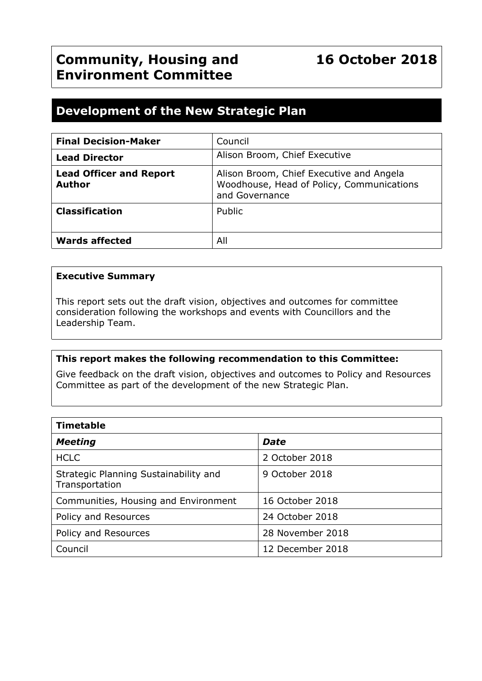# **Development of the New Strategic Plan**

| <b>Final Decision-Maker</b>                     | Council                                                                                                 |  |
|-------------------------------------------------|---------------------------------------------------------------------------------------------------------|--|
| <b>Lead Director</b>                            | Alison Broom, Chief Executive                                                                           |  |
| <b>Lead Officer and Report</b><br><b>Author</b> | Alison Broom, Chief Executive and Angela<br>Woodhouse, Head of Policy, Communications<br>and Governance |  |
| <b>Classification</b>                           | Public                                                                                                  |  |
| <b>Wards affected</b>                           | All                                                                                                     |  |

## **Executive Summary**

This report sets out the draft vision, objectives and outcomes for committee consideration following the workshops and events with Councillors and the Leadership Team.

## **This report makes the following recommendation to this Committee:**

Give feedback on the draft vision, objectives and outcomes to Policy and Resources Committee as part of the development of the new Strategic Plan.

| <b>Timetable</b>                                        |                  |  |  |
|---------------------------------------------------------|------------------|--|--|
| <b>Meeting</b>                                          | Date             |  |  |
| <b>HCLC</b>                                             | 2 October 2018   |  |  |
| Strategic Planning Sustainability and<br>Transportation | 9 October 2018   |  |  |
| Communities, Housing and Environment                    | 16 October 2018  |  |  |
| Policy and Resources                                    | 24 October 2018  |  |  |
| Policy and Resources                                    | 28 November 2018 |  |  |
| Council                                                 | 12 December 2018 |  |  |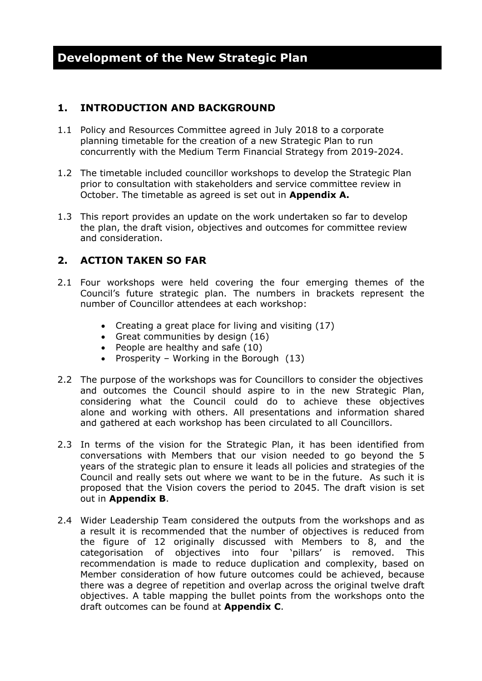## **1. INTRODUCTION AND BACKGROUND**

- 1.1 Policy and Resources Committee agreed in July 2018 to a corporate planning timetable for the creation of a new Strategic Plan to run concurrently with the Medium Term Financial Strategy from 2019-2024.
- 1.2 The timetable included councillor workshops to develop the Strategic Plan prior to consultation with stakeholders and service committee review in October. The timetable as agreed is set out in **Appendix A.**
- 1.3 This report provides an update on the work undertaken so far to develop the plan, the draft vision, objectives and outcomes for committee review and consideration.

# **2. ACTION TAKEN SO FAR**

- 2.1 Four workshops were held covering the four emerging themes of the Council's future strategic plan. The numbers in brackets represent the number of Councillor attendees at each workshop:
	- Creating a great place for living and visiting (17)
	- Great communities by design (16)
	- People are healthy and safe  $(10)$
	- Prosperity Working in the Borough  $(13)$
- 2.2 The purpose of the workshops was for Councillors to consider the objectives and outcomes the Council should aspire to in the new Strategic Plan, considering what the Council could do to achieve these objectives alone and working with others. All presentations and information shared and gathered at each workshop has been circulated to all Councillors.
- 2.3 In terms of the vision for the Strategic Plan, it has been identified from conversations with Members that our vision needed to go beyond the 5 years of the strategic plan to ensure it leads all policies and strategies of the Council and really sets out where we want to be in the future. As such it is proposed that the Vision covers the period to 2045. The draft vision is set out in **Appendix B**.
- 2.4 Wider Leadership Team considered the outputs from the workshops and as a result it is recommended that the number of objectives is reduced from the figure of 12 originally discussed with Members to 8, and the categorisation of objectives into four 'pillars' is removed. This recommendation is made to reduce duplication and complexity, based on Member consideration of how future outcomes could be achieved, because there was a degree of repetition and overlap across the original twelve draft objectives. A table mapping the bullet points from the workshops onto the draft outcomes can be found at **Appendix C**.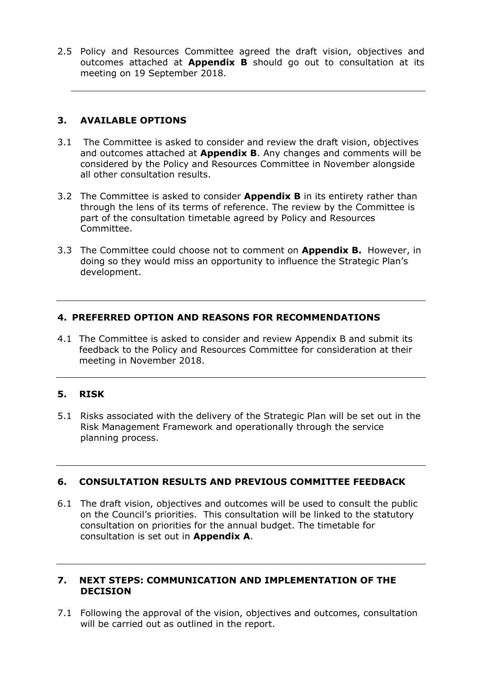2.5 Policy and Resources Committee agreed the draft vision, objectives and outcomes attached at **Appendix B** should go out to consultation at its meeting on 19 September 2018.

## **3. AVAILABLE OPTIONS**

- 3.1 The Committee is asked to consider and review the draft vision, objectives and outcomes attached at **Appendix B**. Any changes and comments will be considered by the Policy and Resources Committee in November alongside all other consultation results.
- 3.2 The Committee is asked to consider **Appendix B** in its entirety rather than through the lens of its terms of reference. The review by the Committee is part of the consultation timetable agreed by Policy and Resources Committee.
- 3.3 The Committee could choose not to comment on **Appendix B.** However, in doing so they would miss an opportunity to influence the Strategic Plan's development.

## **4. PREFERRED OPTION AND REASONS FOR RECOMMENDATIONS**

4.1 The Committee is asked to consider and review Appendix B and submit its feedback to the Policy and Resources Committee for consideration at their meeting in November 2018.

## **5. RISK**

5.1 Risks associated with the delivery of the Strategic Plan will be set out in the Risk Management Framework and operationally through the service planning process.

## **6. CONSULTATION RESULTS AND PREVIOUS COMMITTEE FEEDBACK**

6.1 The draft vision, objectives and outcomes will be used to consult the public on the Council's priorities. This consultation will be linked to the statutory consultation on priorities for the annual budget. The timetable for consultation is set out in **Appendix A**.

## **7. NEXT STEPS: COMMUNICATION AND IMPLEMENTATION OF THE DECISION**

7.1 Following the approval of the vision, objectives and outcomes, consultation will be carried out as outlined in the report.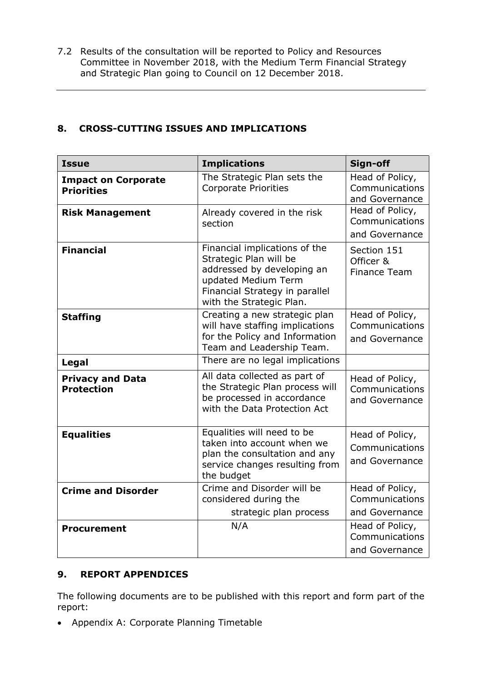7.2 Results of the consultation will be reported to Policy and Resources Committee in November 2018, with the Medium Term Financial Strategy and Strategic Plan going to Council on 12 December 2018.

| <b>Issue</b>                                    | <b>Implications</b>                                                                                                                                                        | Sign-off                                            |
|-------------------------------------------------|----------------------------------------------------------------------------------------------------------------------------------------------------------------------------|-----------------------------------------------------|
| <b>Impact on Corporate</b><br><b>Priorities</b> | The Strategic Plan sets the<br><b>Corporate Priorities</b>                                                                                                                 | Head of Policy,<br>Communications<br>and Governance |
| <b>Risk Management</b>                          | Already covered in the risk<br>section                                                                                                                                     | Head of Policy,<br>Communications<br>and Governance |
| <b>Financial</b>                                | Financial implications of the<br>Strategic Plan will be<br>addressed by developing an<br>updated Medium Term<br>Financial Strategy in parallel<br>with the Strategic Plan. | Section 151<br>Officer &<br>Finance Team            |
| <b>Staffing</b>                                 | Creating a new strategic plan<br>will have staffing implications<br>for the Policy and Information<br>Team and Leadership Team.                                            | Head of Policy,<br>Communications<br>and Governance |
| Legal                                           | There are no legal implications                                                                                                                                            |                                                     |
| <b>Privacy and Data</b><br><b>Protection</b>    | All data collected as part of<br>the Strategic Plan process will<br>be processed in accordance<br>with the Data Protection Act                                             | Head of Policy,<br>Communications<br>and Governance |
| <b>Equalities</b>                               | Equalities will need to be<br>taken into account when we<br>plan the consultation and any<br>service changes resulting from<br>the budget                                  | Head of Policy,<br>Communications<br>and Governance |
| <b>Crime and Disorder</b>                       | Crime and Disorder will be<br>considered during the<br>strategic plan process                                                                                              | Head of Policy,<br>Communications<br>and Governance |
| <b>Procurement</b>                              | N/A                                                                                                                                                                        | Head of Policy,<br>Communications<br>and Governance |

## **8. CROSS-CUTTING ISSUES AND IMPLICATIONS**

## **9. REPORT APPENDICES**

The following documents are to be published with this report and form part of the report:

Appendix A: Corporate Planning Timetable